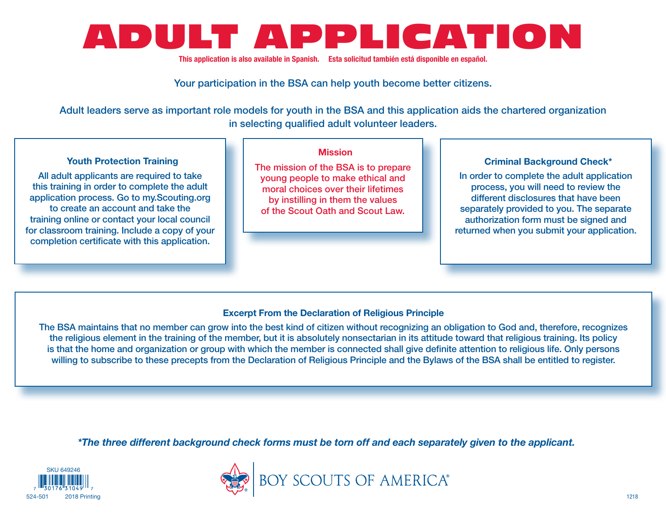

This application is also available in Spanish. Esta solicitud también está disponible en español.

Your participation in the BSA can help youth become better citizens.

Adult leaders serve as important role models for youth in the BSA and this application aids the chartered organization in selecting qualified adult volunteer leaders.

# Youth Protection Training

All adult applicants are required to take this training in order to complete the adult application process. Go to my.Scouting.org to create an account and take the training online or contact your local council for classroom training. Include a copy of your completion certificate with this application.

## Mission

The mission of the BSA is to prepare young people to make ethical and moral choices over their lifetimes by instilling in them the values of the Scout Oath and Scout Law.

## Criminal Background Check\*

In order to complete the adult application process, you will need to review the different disclosures that have been separately provided to you. The separate authorization form must be signed and returned when you submit your application.

## Excerpt From the Declaration of Religious Principle

The BSA maintains that no member can grow into the best kind of citizen without recognizing an obligation to God and, therefore, recognizes the religious element in the training of the member, but it is absolutely nonsectarian in its attitude toward that religious training. Its policy is that the home and organization or group with which the member is connected shall give definite attention to religious life. Only persons willing to subscribe to these precepts from the Declaration of Religious Principle and the Bylaws of the BSA shall be entitled to register.

*\*The three different background check forms must be torn off and each separately given to the applicant.*



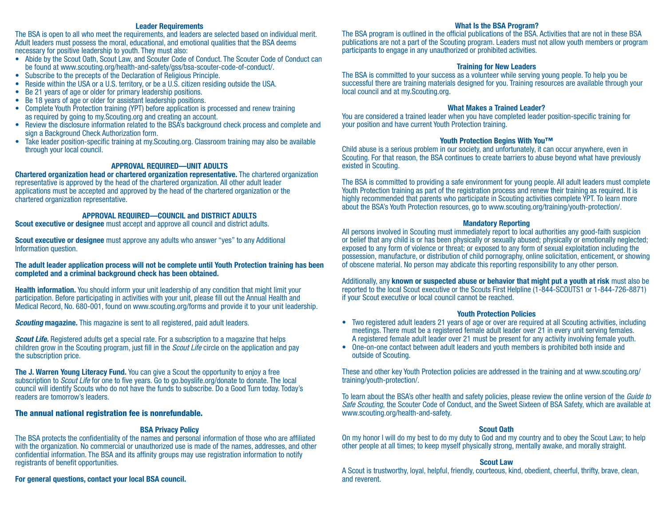#### Leader Requirements

The BSA is open to all who meet the requirements, and leaders are selected based on individual merit. Adult leaders must possess the moral, educational, and emotional qualities that the BSA deems necessary for positive leadership to youth. They must also:

- Abide by the Scout Oath, Scout Law, and Scouter Code of Conduct. The Scouter Code of Conduct can be found at [www.scouting.org/health-and-safety/gss/bsa-scouter-code-of-conduct/](http://www.scouting.org/health-and-safety/gss/bsa-scouter-code-of-conduct/).
- Subscribe to the precepts of the Declaration of Religious Principle.
- Reside within the USA or a U.S. territory, or be a U.S. citizen residing outside the USA.
- Be 21 years of age or older for primary leadership positions.
- Be 18 years of age or older for assistant leadership positions.
- Complete Youth Protection training (YPT) before application is processed and renew training as required by going to my.Scouting.org and creating an account.
- Review the disclosure information related to the BSA's background check process and complete and sign a Background Check Authorization form.
- Take leader position-specific training at my.Scouting.org. Classroom training may also be available through your local council.

#### APPROVAL REQUIRED—UNIT ADULTS

Chartered organization head or chartered organization representative. The chartered organization representative is approved by the head of the chartered organization. All other adult leader applications must be accepted and approved by the head of the chartered organization or the chartered organization representative.

#### APPROVAL REQUIRED—COUNCIL and DISTRICT ADULTS

Scout executive or designee must accept and approve all council and district adults.

**Scout executive or designee** must approve any adults who answer "yes" to any Additional Information question.

#### The adult leader application process will not be complete until Youth Protection training has been completed and a criminal background check has been obtained.

**Health information.** You should inform your unit leadership of any condition that might limit your participation. Before participating in activities with your unit, please fill out the Annual Health and Medical Record, No. 680-001, found on www.scouting.org/forms and provide it to your unit leadership.

*Scouting* magazine. This magazine is sent to all registered, paid adult leaders.

*Scout Life.* Registered adults get a special rate. For a subscription to a magazine that helps children grow in the Scouting program, just fill in the *Scout Life* circle on the application and pay the subscription price.

The J. Warren Young Literacy Fund. You can give a Scout the opportunity to enjoy a free subscription to *Scout Life* for one to five years. Go to go.boyslife.org/donate to donate. The local council will identify Scouts who do not have the funds to subscribe. Do a Good Turn today. Today's readers are tomorrow's leaders.

### The annual national registration fee is nonrefundable.

### BSA Privacy Policy

The BSA protects the confidentiality of the names and personal information of those who are affiliated with the organization. No commercial or unauthorized use is made of the names, addresses, and other confidential information. The BSA and its affinity groups may use registration information to notify registrants of benefit opportunities.

# For general questions, contact your local BSA council.

#### What Is the BSA Program?

The BSA program is outlined in the official publications of the BSA. Activities that are not in these BSA publications are not a part of the Scouting program. Leaders must not allow youth members or program participants to engage in any unauthorized or prohibited activities.

## Training for New Leaders

The BSA is committed to your success as a volunteer while serving young people. To help you be successful there are training materials designed for you. Training resources are available through your local council and at my.Scouting.org.

### What Makes a Trained Leader?

You are considered a trained leader when you have completed leader position-specific training for your position and have current Youth Protection training.

## Youth Protection Begins With You™

Child abuse is a serious problem in our society, and unfortunately, it can occur anywhere, even in Scouting. For that reason, the BSA continues to create barriers to abuse beyond what have previously existed in Scouting.

The BSA is committed to providing a safe environment for young people. All adult leaders must complete Youth Protection training as part of the registration process and renew their training as required. It is highly recommended that parents who participate in Scouting activities complete YPT. To learn more about the BSA's Youth Protection resources, go to [www.scouting.org/training/youth-protection/](http://www.scouting.org/training/youth-protection/).

#### Mandatory Reporting

All persons involved in Scouting must immediately report to local authorities any good-faith suspicion or belief that any child is or has been physically or sexually abused; physically or emotionally neglected; exposed to any form of violence or threat; or exposed to any form of sexual exploitation including the possession, manufacture, or distribution of child pornography, online solicitation, enticement, or showing of obscene material. No person may abdicate this reporting responsibility to any other person.

Additionally, any **known or suspected abuse or behavior that might put a youth at risk** must also be reported to the local Scout executive or the Scouts First Helpline (1-844-SCOUTS1 or 1-844-726-8871) if your Scout executive or local council cannot be reached.

#### Youth Protection Policies

- Two registered adult leaders 21 years of age or over are required at all Scouting activities, including meetings. There must be a registered female adult leader over 21 in every unit serving females. A registered female adult leader over 21 must be present for any activity involving female youth.
- One-on-one contact between adult leaders and youth members is prohibited both inside and outside of Scouting.

These and other key Youth Protection policies are addressed in the training and at www.scouting.org/ training/youth-protection/.

To learn about the BSA's other health and safety policies, please review the online version of the *Guide to Safe Scouting,* the Scouter Code of Conduct, and the Sweet Sixteen of BSA Safety, which are available at www.scouting.org/health-and-safety.

#### Scout Oath

On my honor I will do my best to do my duty to God and my country and to obey the Scout Law; to help other people at all times; to keep myself physically strong, mentally awake, and morally straight.

#### Scout Law

A Scout is trustworthy, loyal, helpful, friendly, courteous, kind, obedient, cheerful, thrifty, brave, clean, and reverent.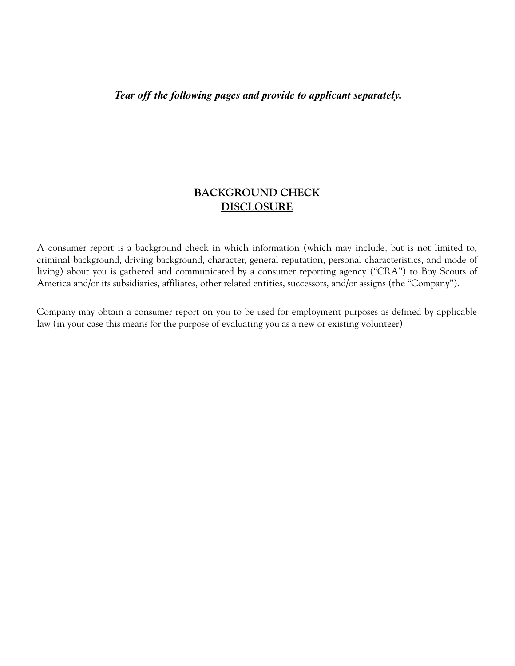*Tear off the following pages and provide to applicant separately.*

# **BACKGROUND CHECK DISCLOSURE**

A consumer report is a background check in which information (which may include, but is not limited to, criminal background, driving background, character, general reputation, personal characteristics, and mode of living) about you is gathered and communicated by a consumer reporting agency ("CRA") to Boy Scouts of America and/or its subsidiaries, affiliates, other related entities, successors, and/or assigns (the "Company").

Company may obtain a consumer report on you to be used for employment purposes as defined by applicable law (in your case this means for the purpose of evaluating you as a new or existing volunteer).